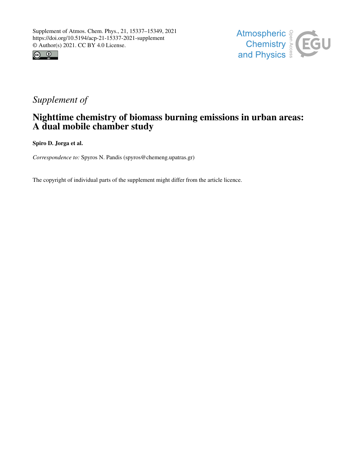



## *Supplement of*

### Nighttime chemistry of biomass burning emissions in urban areas: A dual mobile chamber study

Spiro D. Jorga et al.

*Correspondence to:* Spyros N. Pandis (spyros@chemeng.upatras.gr)

The copyright of individual parts of the supplement might differ from the article licence.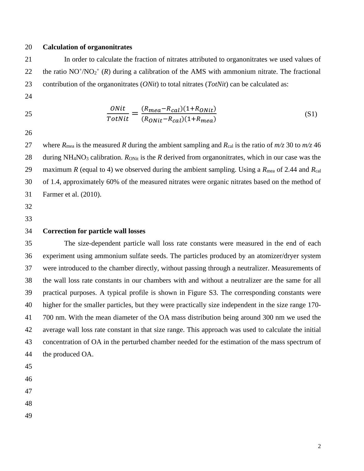#### **Calculation of organonitrates**

 In order to calculate the fraction of nitrates attributed to organonitrates we used values of 22 the ratio  $NO^{+}/NO_{2}^{+}$  (*R*) during a calibration of the AMS with ammonium nitrate. The fractional contribution of the organonitrates (*ONit*) to total nitrates (*TotNit*) can be calculated as:

$$
\frac{0Nit}{TotNit} = \frac{(R_{mea} - R_{cal})(1 + R_{ONit})}{(R_{ONit} - R_{cal})(1 + R_{mea})}
$$
(S1)

27 where  $R_{\text{mea}}$  is the measured *R* during the ambient sampling and  $R_{\text{cal}}$  is the ratio of  $m/z$  30 to  $m/z$  46 28 during NH<sub>4</sub>NO<sub>3</sub> calibration. *R*<sub>ONit</sub> is the *R* derived from organonitrates, which in our case was the 29 maximum *R* (equal to 4) we observed during the ambient sampling. Using a  $R_{\text{mea}}$  of 2.44 and  $R_{\text{cal}}$  of 1.4, approximately 60% of the measured nitrates were organic nitrates based on the method of Farmer et al. (2010).

- 
- 

#### **Correction for particle wall losses**

 The size-dependent particle wall loss rate constants were measured in the end of each experiment using ammonium sulfate seeds. The particles produced by an atomizer/dryer system were introduced to the chamber directly, without passing through a neutralizer. Measurements of the wall loss rate constants in our chambers with and without a neutralizer are the same for all practical purposes. A typical profile is shown in Figure S3. The corresponding constants were higher for the smaller particles, but they were practically size independent in the size range 170- 700 nm. With the mean diameter of the OA mass distribution being around 300 nm we used the average wall loss rate constant in that size range. This approach was used to calculate the initial concentration of OA in the perturbed chamber needed for the estimation of the mass spectrum of the produced OA.

- 
- 
- 
- 
-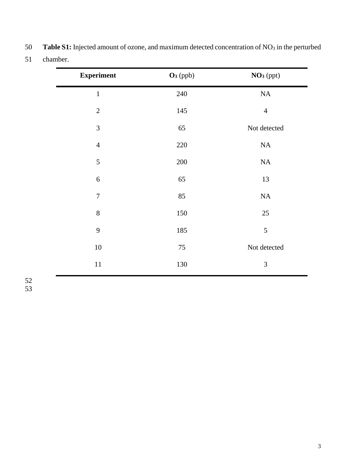| <b>Experiment</b> | $O3$ (ppb) | NO <sub>3</sub> (ppt) |
|-------------------|------------|-----------------------|
| $\mathbf{1}$      | 240        | $\rm NA$              |
| $\mathbf{2}$      | 145        | $\overline{4}$        |
| 3                 | 65         | Not detected          |
| $\overline{4}$    | $220\,$    | $\rm NA$              |
| 5                 | 200        | $\rm NA$              |
| 6                 | 65         | 13                    |
| $\boldsymbol{7}$  | 85         | NA                    |
| 8                 | 150        | $25\,$                |
| 9                 | 185        | 5                     |
| 10                | 75         | Not detected          |
| $11\,$            | 130        | $\mathfrak{Z}$        |

50 **Table S1:** Injected amount of ozone, and maximum detected concentration of NO<sub>3</sub> in the perturbed chamber.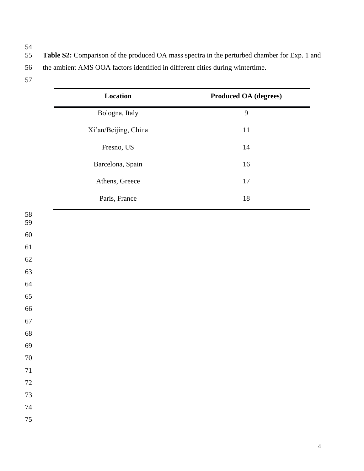- 
- Table S2: Comparison of the produced OA mass spectra in the perturbed chamber for Exp. 1 and the ambient AMS OOA factors identified in different cities during wintertime.
- 

|          | Location             | <b>Produced OA (degrees)</b> |  |  |
|----------|----------------------|------------------------------|--|--|
|          | Bologna, Italy       | 9                            |  |  |
|          | Xi'an/Beijing, China | $11\,$                       |  |  |
|          | Fresno, US           | $14\,$                       |  |  |
|          | Barcelona, Spain     | $16\,$                       |  |  |
|          | Athens, Greece       | $17\,$                       |  |  |
|          | Paris, France        | $18\,$                       |  |  |
| 58<br>59 |                      |                              |  |  |
| $60\,$   |                      |                              |  |  |
| 61       |                      |                              |  |  |
| 62       |                      |                              |  |  |
| 63       |                      |                              |  |  |
| 64       |                      |                              |  |  |
| 65       |                      |                              |  |  |
| 66       |                      |                              |  |  |
| 67       |                      |                              |  |  |
| 68       |                      |                              |  |  |
| 69       |                      |                              |  |  |
| $70\,$   |                      |                              |  |  |
| $71\,$   |                      |                              |  |  |
| $72\,$   |                      |                              |  |  |
| $73\,$   |                      |                              |  |  |
| $74\,$   |                      |                              |  |  |
| 75       |                      |                              |  |  |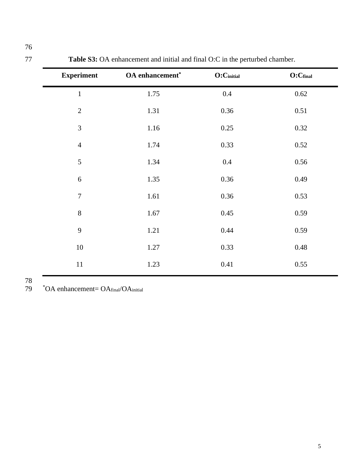| <b>Experiment</b> | OA enhancement* | O:C <sub>initial</sub> | O:C <sub>final</sub> |
|-------------------|-----------------|------------------------|----------------------|
| $\mathbf 1$       | 1.75            | $0.4\,$                | 0.62                 |
| $\overline{2}$    | 1.31            | 0.36                   | 0.51                 |
| 3                 | 1.16            | 0.25                   | 0.32                 |
| $\overline{4}$    | 1.74            | 0.33                   | 0.52                 |
| 5                 | 1.34            | $0.4\,$                | 0.56                 |
| $\boldsymbol{6}$  | 1.35            | 0.36                   | 0.49                 |
| $\overline{7}$    | 1.61            | 0.36                   | 0.53                 |
| 8                 | 1.67            | 0.45                   | 0.59                 |
| 9                 | 1.21            | 0.44                   | 0.59                 |
| $10\,$            | 1.27            | 0.33                   | 0.48                 |
|                   |                 |                        |                      |

11 1.23 0.41 0.55

**Table S3:** OA enhancement and initial and final O:C in the perturbed chamber.

79 <sup>\*</sup>OA enhancement= OA<sub>final</sub>/OA<sub>initial</sub>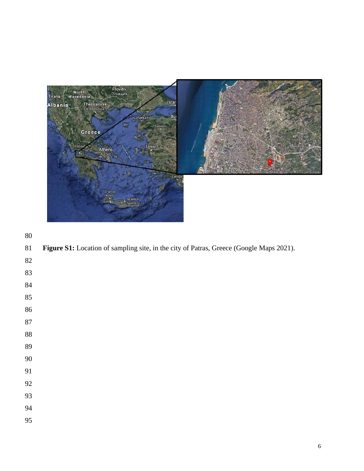

|  |  |  |  | 81 Figure S1: Location of sampling site, in the city of Patras, Greece (Google Maps 2021). |
|--|--|--|--|--------------------------------------------------------------------------------------------|
|--|--|--|--|--------------------------------------------------------------------------------------------|

# 

- 
- 
- 

 

- 
- 
-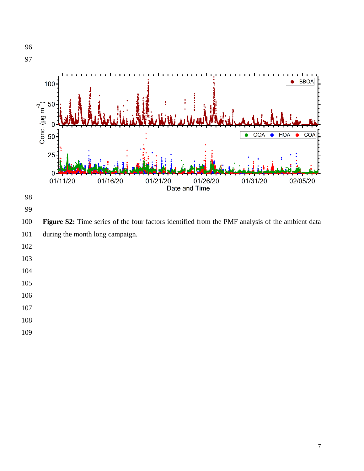

- 
- 
- 
- 
-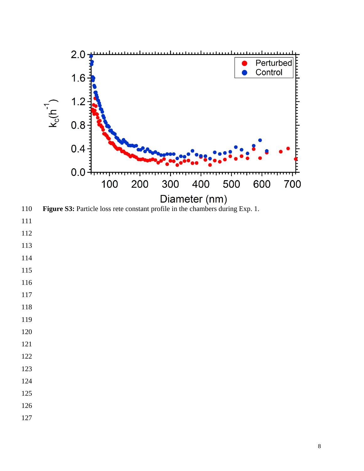

- 
- 
- 
- 
- 
- 
- 
- 
- 
- 
- 
- 
- 
- 
- 
- 
- 
-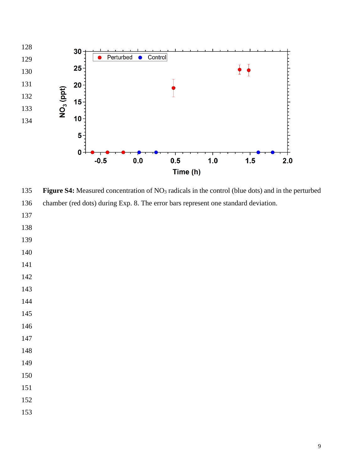

 **Figure S4:** Measured concentration of NO<sup>3</sup> radicals in the control (blue dots) and in the perturbed chamber (red dots) during Exp. 8. The error bars represent one standard deviation.

- 
- 
- 
- 
- 
- 
- 
- 
- 
- 
- 
- 
- 
- 
- 
- 
-